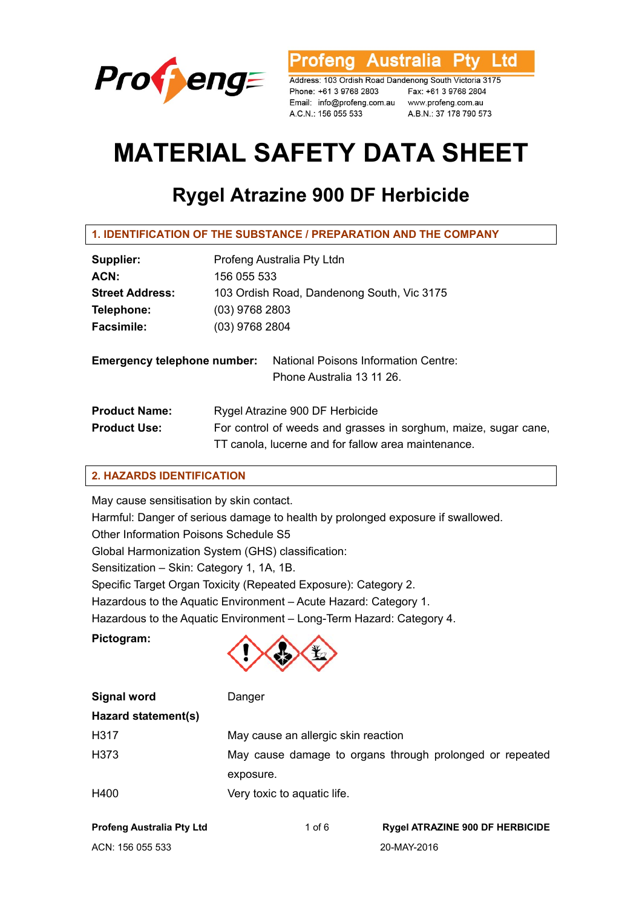

Australia l td ofena

Address: 103 Ordish Road Dandenong South Victoria 3175 Phone: +61 3 9768 2803 Fax: +61 3 9768 2804 Email: info@profeng.com.au www.profeng.com.au A.C.N.: 156 055 533

A.B.N.: 37 178 790 573

# **MATERIAL SAFETY DATA SHEET**

# **Rygel Atrazine 900 DF Herbicide**

| 1. IDENTIFICATION OF THE SUBSTANCE / PREPARATION AND THE COMPANY |                                                                                                                                                           |  |
|------------------------------------------------------------------|-----------------------------------------------------------------------------------------------------------------------------------------------------------|--|
| Supplier:                                                        | Profeng Australia Pty Ltdn                                                                                                                                |  |
| ACN:                                                             | 156 055 533                                                                                                                                               |  |
| <b>Street Address:</b>                                           | 103 Ordish Road, Dandenong South, Vic 3175                                                                                                                |  |
| Telephone:                                                       | $(03)$ 9768 2803                                                                                                                                          |  |
| <b>Facsimile:</b>                                                | (03) 9768 2804                                                                                                                                            |  |
| <b>Emergency telephone number:</b>                               | National Poisons Information Centre:<br>Phone Australia 13 11 26.                                                                                         |  |
| <b>Product Name:</b><br><b>Product Use:</b>                      | Rygel Atrazine 900 DF Herbicide<br>For control of weeds and grasses in sorghum, maize, sugar cane,<br>TT canola, lucerne and for fallow area maintenance. |  |

# **2. HAZARDS IDENTIFICATION**

May cause sensitisation by skin contact.

Harmful: Danger of serious damage to health by prolonged exposure if swallowed. Other Information Poisons Schedule S5 Global Harmonization System (GHS) classification: Sensitization – Skin: Category 1, 1A, 1B. Specific Target Organ Toxicity (Repeated Exposure): Category 2. Hazardous to the Aquatic Environment – Acute Hazard: Category 1. Hazardous to the Aquatic Environment – Long-Term Hazard: Category 4.

**Pictogram:** 



| Signal word         | Danger                                                   |
|---------------------|----------------------------------------------------------|
| Hazard statement(s) |                                                          |
| H317                | May cause an allergic skin reaction                      |
| H373                | May cause damage to organs through prolonged or repeated |
|                     | exposure.                                                |
| H400                | Very toxic to aquatic life.                              |
|                     |                                                          |

| <b>Profeng Australia Pty Ltd</b> |  |
|----------------------------------|--|
| ACN: 156 055 533                 |  |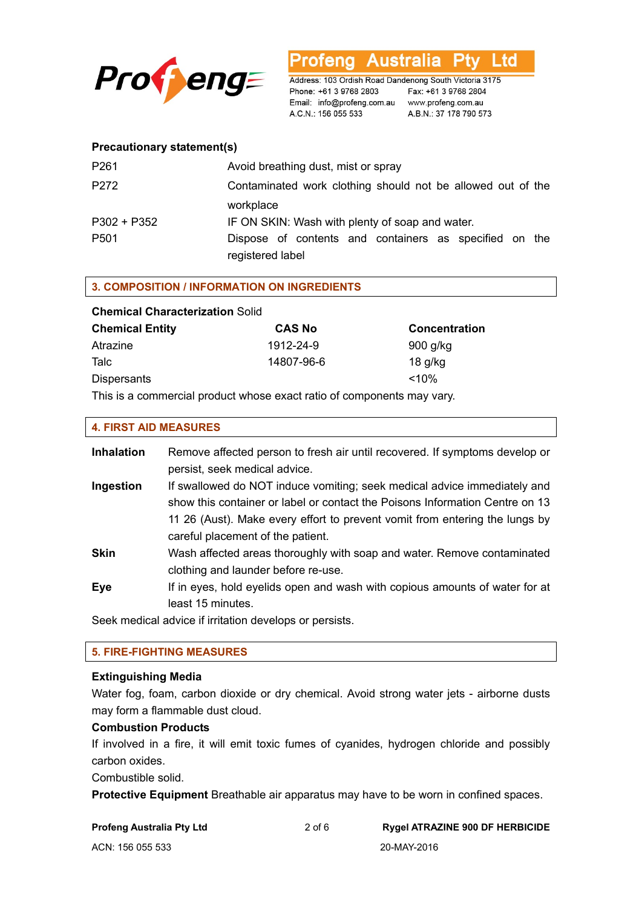

rofeng Australia l td

Address: 103 Ordish Road Dandenong South Victoria 3175 Phone: +61 3 9768 2803<br>
Fax: +61 3 9768 2804<br>
Email: info@profeng.com.au www.profeng.com.au A.C.N.: 156 055 533 A.B.N.: 37 178 790 573

# **Precautionary statement(s)**

| P <sub>261</sub> | Avoid breathing dust, mist or spray                         |
|------------------|-------------------------------------------------------------|
| P272             | Contaminated work clothing should not be allowed out of the |
|                  | workplace                                                   |
| $P302 + P352$    | IF ON SKIN: Wash with plenty of soap and water.             |
| P <sub>501</sub> | Dispose of contents and containers as specified on the      |
|                  | registered label                                            |

# **3. COMPOSITION / INFORMATION ON INGREDIENTS**

| <b>Chemical Characterization Solid</b> |               |                      |  |
|----------------------------------------|---------------|----------------------|--|
| <b>Chemical Entity</b>                 | <b>CAS No</b> | <b>Concentration</b> |  |
| Atrazine                               | 1912-24-9     | 900 g/kg             |  |
| Talc                                   | 14807-96-6    | $18$ g/kg            |  |
| <b>Dispersants</b>                     |               | $< 10\%$             |  |
|                                        |               |                      |  |

This is a commercial product whose exact ratio of components may vary.

# **4. FIRST AID MEASURES**

| <b>Inhalation</b> | Remove affected person to fresh air until recovered. If symptoms develop or<br>persist, seek medical advice.                                                                                                                                                                 |
|-------------------|------------------------------------------------------------------------------------------------------------------------------------------------------------------------------------------------------------------------------------------------------------------------------|
| Ingestion         | If swallowed do NOT induce vomiting; seek medical advice immediately and<br>show this container or label or contact the Poisons Information Centre on 13<br>11 26 (Aust). Make every effort to prevent vomit from entering the lungs by<br>careful placement of the patient. |
| <b>Skin</b>       | Wash affected areas thoroughly with soap and water. Remove contaminated<br>clothing and launder before re-use.                                                                                                                                                               |
| Eye               | If in eyes, hold eyelids open and wash with copious amounts of water for at<br>least 15 minutes.                                                                                                                                                                             |

Seek medical advice if irritation develops or persists.

# **5. FIRE-FIGHTING MEASURES**

### **Extinguishing Media**

Water fog, foam, carbon dioxide or dry chemical. Avoid strong water jets - airborne dusts may form a flammable dust cloud.

## **Combustion Products**

If involved in a fire, it will emit toxic fumes of cyanides, hydrogen chloride and possibly carbon oxides.

Combustible solid.

**Protective Equipment** Breathable air apparatus may have to be worn in confined spaces.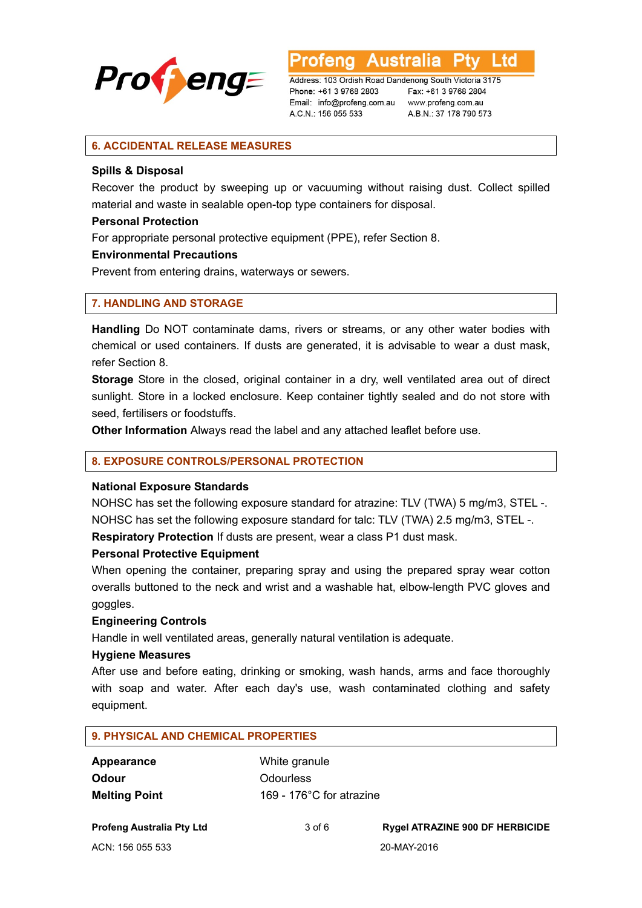

**Australia** L td

Address: 103 Ordish Road Dandenong South Victoria 3175 Phone: +61 3 9768 2803 Email: info@profeng.com.au A.C.N.: 156 055 533

Fax: +61 3 9768 2804 www.profeng.com.au A.B.N.: 37 178 790 573

# **6. ACCIDENTAL RELEASE MEASURES**

### **Spills & Disposal**

Recover the product by sweeping up or vacuuming without raising dust. Collect spilled material and waste in sealable open-top type containers for disposal.

# **Personal Protection**

For appropriate personal protective equipment (PPE), refer Section 8.

# **Environmental Precautions**

Prevent from entering drains, waterways or sewers.

# **7. HANDLING AND STORAGE**

**Handling** Do NOT contaminate dams, rivers or streams, or any other water bodies with chemical or used containers. If dusts are generated, it is advisable to wear a dust mask, refer Section 8.

**Storage** Store in the closed, original container in a dry, well ventilated area out of direct sunlight. Store in a locked enclosure. Keep container tightly sealed and do not store with seed, fertilisers or foodstuffs.

**Other Information** Always read the label and any attached leaflet before use.

### **8. EXPOSURE CONTROLS/PERSONAL PROTECTION**

### **National Exposure Standards**

NOHSC has set the following exposure standard for atrazine: TLV (TWA) 5 mg/m3, STEL -. NOHSC has set the following exposure standard for talc: TLV (TWA) 2.5 mg/m3, STEL -.

**Respiratory Protection** If dusts are present, wear a class P1 dust mask.

# **Personal Protective Equipment**

When opening the container, preparing spray and using the prepared spray wear cotton overalls buttoned to the neck and wrist and a washable hat, elbow-length PVC gloves and goggles.

### **Engineering Controls**

Handle in well ventilated areas, generally natural ventilation is adequate.

### **Hygiene Measures**

After use and before eating, drinking or smoking, wash hands, arms and face thoroughly with soap and water. After each day's use, wash contaminated clothing and safety equipment.

# **9. PHYSICAL AND CHEMICAL PROPERTIES**

| Appearance           | White granule                       |
|----------------------|-------------------------------------|
| <b>Odour</b>         | <b>Odourless</b>                    |
| <b>Melting Point</b> | 169 - 176 $^{\circ}$ C for atrazine |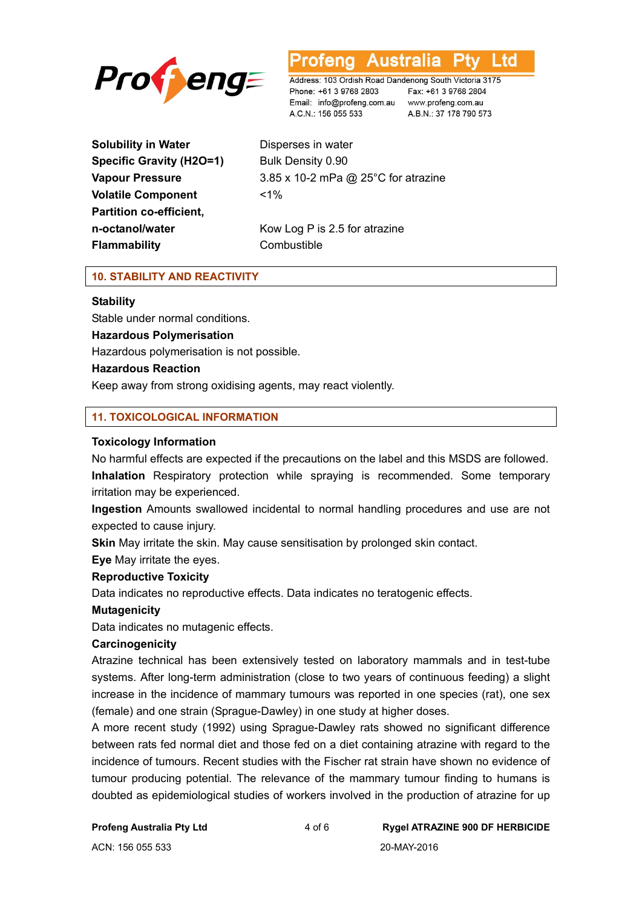



Address: 103 Ordish Road Dandenong South Victoria 3175 Phone: +61 3 9768 2803 Email: info@profeng.com.au www.profeng.com.au A.C.N.: 156 055 533

Fax: +61 3 9768 2804 A.B.N.: 37 178 790 573

**Solubility in Water Disperses in water Specific Gravity (H2O=1)** Bulk Density 0.90 **Volatile Component** <1% **Partition co-efficient, Flammability Combustible** 

**Vapour Pressure** 3.85 x 10-2 mPa @ 25°C for atrazine **n-octanol/water** Kow Log P is 2.5 for atrazine

# **10. STABILITY AND REACTIVITY**

# **Stability**

Stable under normal conditions. **Hazardous Polymerisation**  Hazardous polymerisation is not possible.

# **Hazardous Reaction**

Keep away from strong oxidising agents, may react violently.

# **11. TOXICOLOGICAL INFORMATION**

# **Toxicology Information**

No harmful effects are expected if the precautions on the label and this MSDS are followed. **Inhalation** Respiratory protection while spraying is recommended. Some temporary irritation may be experienced.

**Ingestion** Amounts swallowed incidental to normal handling procedures and use are not expected to cause injury.

**Skin** May irritate the skin. May cause sensitisation by prolonged skin contact.

**Eye** May irritate the eyes.

# **Reproductive Toxicity**

Data indicates no reproductive effects. Data indicates no teratogenic effects.

### **Mutagenicity**

Data indicates no mutagenic effects.

### **Carcinogenicity**

Atrazine technical has been extensively tested on laboratory mammals and in test-tube systems. After long-term administration (close to two years of continuous feeding) a slight increase in the incidence of mammary tumours was reported in one species (rat), one sex (female) and one strain (Sprague-Dawley) in one study at higher doses.

A more recent study (1992) using Sprague-Dawley rats showed no significant difference between rats fed normal diet and those fed on a diet containing atrazine with regard to the incidence of tumours. Recent studies with the Fischer rat strain have shown no evidence of tumour producing potential. The relevance of the mammary tumour finding to humans is doubted as epidemiological studies of workers involved in the production of atrazine for up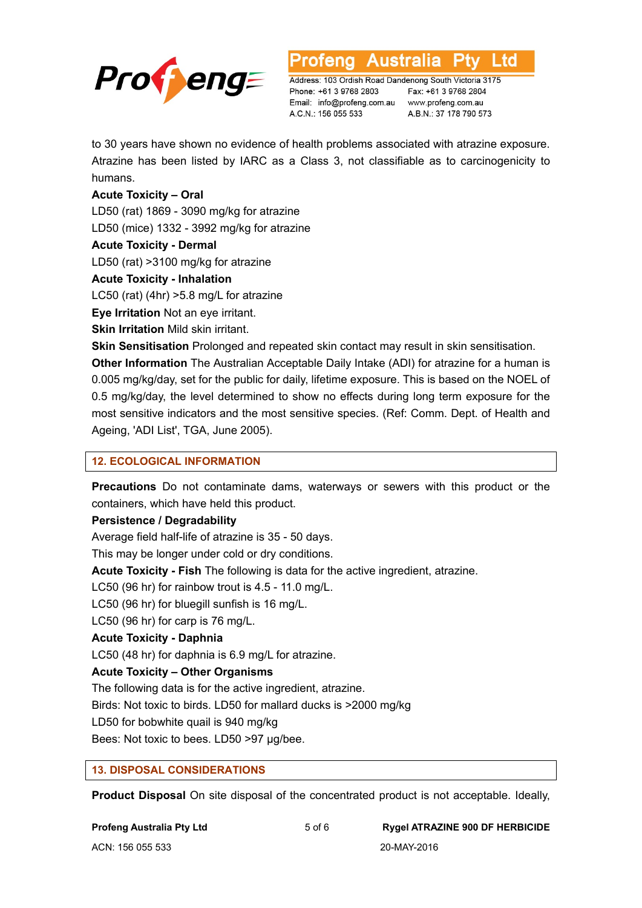

L td **Australia** 

Address: 103 Ordish Road Dandenong South Victoria 3175 Phone: +61 3 9768 2803 Email: info@profeng.com.au A.C.N.: 156 055 533

Fax: +61 3 9768 2804 www.profeng.com.au A.B.N.: 37 178 790 573

to 30 years have shown no evidence of health problems associated with atrazine exposure. Atrazine has been listed by IARC as a Class 3, not classifiable as to carcinogenicity to humans.

# **Acute Toxicity – Oral**

LD50 (rat) 1869 - 3090 mg/kg for atrazine

LD50 (mice) 1332 - 3992 mg/kg for atrazine

# **Acute Toxicity - Dermal**

LD50 (rat) >3100 mg/kg for atrazine

# **Acute Toxicity - Inhalation**

LC50 (rat) (4hr) >5.8 mg/L for atrazine

**Eye Irritation** Not an eye irritant.

**Skin Irritation** Mild skin irritant.

**Skin Sensitisation** Prolonged and repeated skin contact may result in skin sensitisation.

**Other Information** The Australian Acceptable Daily Intake (ADI) for atrazine for a human is 0.005 mg/kg/day, set for the public for daily, lifetime exposure. This is based on the NOEL of 0.5 mg/kg/day, the level determined to show no effects during long term exposure for the most sensitive indicators and the most sensitive species. (Ref: Comm. Dept. of Health and Ageing, 'ADI List', TGA, June 2005).

# **12. ECOLOGICAL INFORMATION**

**Precautions** Do not contaminate dams, waterways or sewers with this product or the containers, which have held this product.

# **Persistence / Degradability**

Average field half-life of atrazine is 35 - 50 days.

This may be longer under cold or dry conditions.

**Acute Toxicity - Fish** The following is data for the active ingredient, atrazine.

LC50 (96 hr) for rainbow trout is 4.5 - 11.0 mg/L.

LC50 (96 hr) for bluegill sunfish is 16 mg/L.

# LC50 (96 hr) for carp is 76 mg/L.

# **Acute Toxicity - Daphnia**

LC50 (48 hr) for daphnia is 6.9 mg/L for atrazine.

# **Acute Toxicity – Other Organisms**

The following data is for the active ingredient, atrazine.

Birds: Not toxic to birds. LD50 for mallard ducks is >2000 mg/kg

LD50 for bobwhite quail is 940 mg/kg

Bees: Not toxic to bees. LD50 >97 μg/bee.

# **13. DISPOSAL CONSIDERATIONS**

**Product Disposal** On site disposal of the concentrated product is not acceptable. Ideally,

# **Profeng Australia Pty Ltd** 5 of 6 **Rygel ATRAZINE 900 DF HERBICIDE**